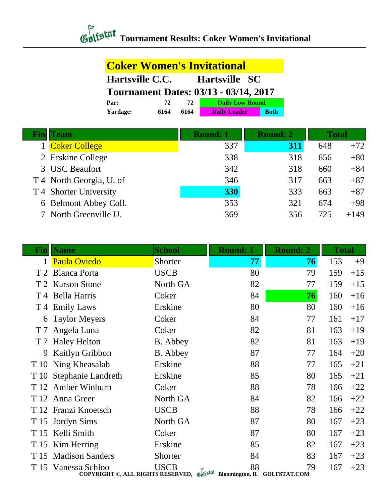## *Contextal* Tournament Results: Coker Women's Invitational

## **Coker Women's Invitational Hartsville C.C. Hartsville SC Tournament Dates: 03/13 - 03/14, 2017**<br>Par: 72 72 Daily Low Round **Par: 72 72 Daily Low Round Yardage: 6164 6164 Daily Leader Both**

| <b>Team</b>              | <b>Round: 1</b> | <b>Round: 2</b> |     | <b>Total</b> |
|--------------------------|-----------------|-----------------|-----|--------------|
| <b>Coker College</b>     | 337             | <b>311</b>      | 648 | $+72$        |
| 2 Erskine College        | 338             | 318             | 656 | $+80$        |
| 3 USC Beaufort           | 342             | 318             | 660 | $+84$        |
| T 4 North Georgia, U. of | 346             | 317             | 663 | $+87$        |
| T 4 Shorter University   | 330             | 333             | 663 | $+87$        |
| 6 Belmont Abbey Coll.    | 353             | 321             | 674 | $+98$        |
| 7 North Greenville U.    | 369             | 356             | 725 | $+149$       |

| $\mathbf{Fin}$ | <b>Name</b>                                                                                    | <b>School</b> | <b>Round: 1</b> | <b>Round: 2</b> | <b>Total</b> |       |
|----------------|------------------------------------------------------------------------------------------------|---------------|-----------------|-----------------|--------------|-------|
|                | <b>Paula Oviedo</b>                                                                            | Shorter       | 77              | 76              | 153          | $+9$  |
|                | T 2 Blanca Porta                                                                               | <b>USCB</b>   | 80              | 79              | 159          | $+15$ |
|                | T 2 Karson Stone                                                                               | North GA      | 82              | 77              | 159          | $+15$ |
|                | T 4 Bella Harris                                                                               | Coker         | 84              | 76              | 160          | $+16$ |
|                | T 4 Emily Laws                                                                                 | Erskine       | 80              | 80              | 160          | $+16$ |
| 6              | <b>Taylor Meyers</b>                                                                           | Coker         | 84              | 77              | 161          | $+17$ |
| T <sub>7</sub> | Angela Luna                                                                                    | Coker         | 82              | 81              | 163          | $+19$ |
| T 7            | <b>Haley Helton</b>                                                                            | B. Abbey      | 82              | 81              | 163          | $+19$ |
| 9              | <b>Kaitlyn Gribbon</b>                                                                         | B. Abbey      | 87              | 77              | 164          | $+20$ |
|                | T 10 Ning Kheasalab                                                                            | Erskine       | 88              | 77              | 165          | $+21$ |
|                | T 10 Stephanie Landreth                                                                        | Erskine       | 85              | 80              | 165          | $+21$ |
|                | T 12 Amber Winburn                                                                             | Coker         | 88              | 78              | 166          | $+22$ |
|                | T 12 Anna Greer                                                                                | North GA      | 84              | 82              | 166          | $+22$ |
|                | T 12 Franzi Knoetsch                                                                           | <b>USCB</b>   | 88              | 78              | 166          | $+22$ |
|                | T 15 Jordyn Sims                                                                               | North GA      | 87              | 80              | 167          | $+23$ |
| T 15           | Kelli Smith                                                                                    | Coker         | 87              | 80              | 167          | $+23$ |
|                | T 15 Kim Herring                                                                               | Erskine       | 85              | 82              | 167          | $+23$ |
| T 15           | <b>Madison Sanders</b>                                                                         | Shorter       | 84              | 83              | 167          | $+23$ |
|                | T 15 Vanessa Schloo<br>COPYRIGHT ©, ALL RIGHTS RESERVED, Gulfstat Bloomington, IL GOLFSTAT.COM | <b>USCB</b>   | 88              | 79              | 167          | $+23$ |